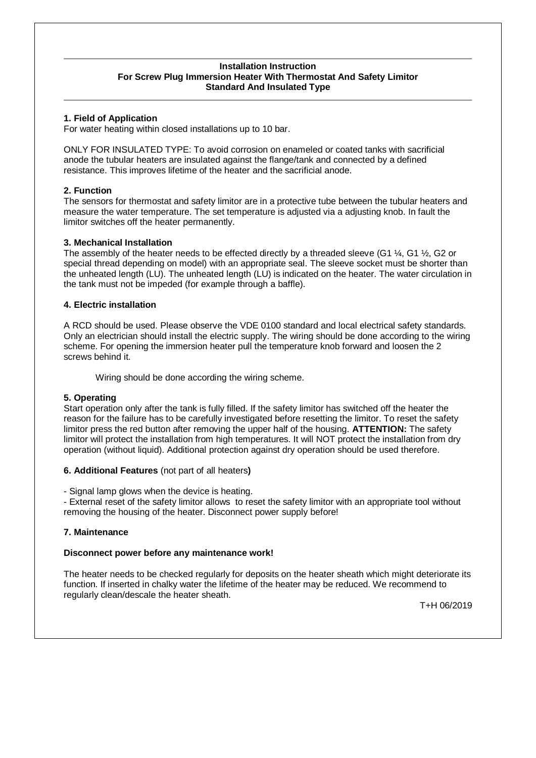#### **Installation Instruction For Screw Plug Immersion Heater With Thermostat And Safety Limitor Standard And Insulated Type**

### **1. Field of Application**

For water heating within closed installations up to 10 bar.

ONLY FOR INSULATED TYPE: To avoid corrosion on enameled or coated tanks with sacrificial anode the tubular heaters are insulated against the flange/tank and connected by a defined resistance. This improves lifetime of the heater and the sacrificial anode.

# **2. Function**

The sensors for thermostat and safety limitor are in a protective tube between the tubular heaters and measure the water temperature. The set temperature is adjusted via a adjusting knob. In fault the limitor switches off the heater permanently.

# **3. Mechanical Installation**

The assembly of the heater needs to be effected directly by a threaded sleeve (G1  $\frac{1}{4}$ , G1  $\frac{1}{2}$ , G2 or special thread depending on model) with an appropriate seal. The sleeve socket must be shorter than the unheated length (LU). The unheated length (LU) is indicated on the heater. The water circulation in the tank must not be impeded (for example through a baffle).

### **4. Electric installation**

A RCD should be used. Please observe the VDE 0100 standard and local electrical safety standards. Only an electrician should install the electric supply. The wiring should be done according to the wiring scheme. For opening the immersion heater pull the temperature knob forward and loosen the 2 screws behind it.

Wiring should be done according the wiring scheme.

### **5. Operating**

Start operation only after the tank is fully filled. If the safety limitor has switched off the heater the reason for the failure has to be carefully investigated before resetting the limitor. To reset the safety limitor press the red button after removing the upper half of the housing. **ATTENTION:** The safety limitor will protect the installation from high temperatures. It will NOT protect the installation from dry operation (without liquid). Additional protection against dry operation should be used therefore.

### **6. Additional Features** (not part of all heaters**)**

- Signal lamp glows when the device is heating.

- External reset of the safety limitor allows to reset the safety limitor with an appropriate tool without removing the housing of the heater. Disconnect power supply before!

### **7. Maintenance**

### **Disconnect power before any maintenance work!**

The heater needs to be checked regularly for deposits on the heater sheath which might deteriorate its function. If inserted in chalky water the lifetime of the heater may be reduced. We recommend to regularly clean/descale the heater sheath.

T+H 06/2019